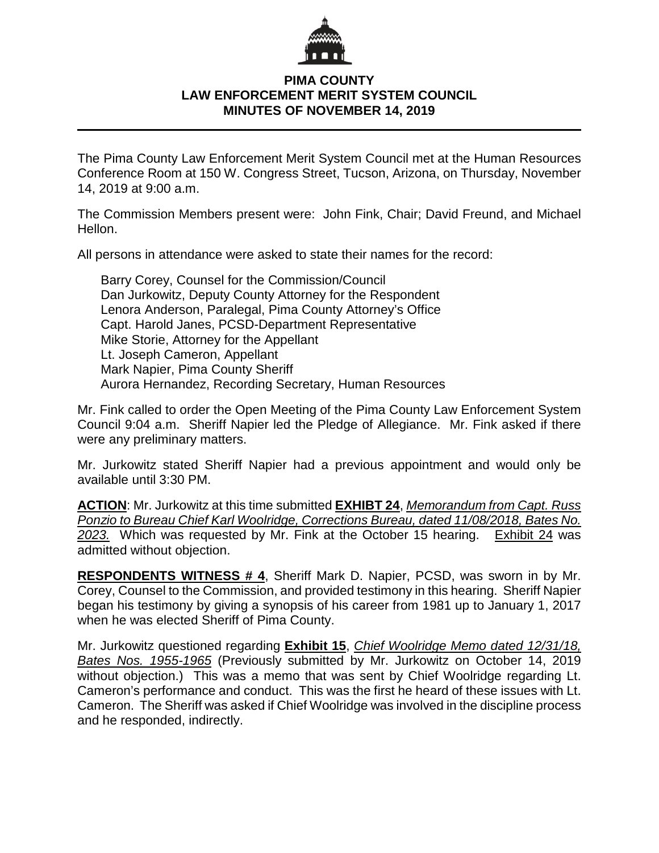

## **PIMA COUNTY LAW ENFORCEMENT MERIT SYSTEM COUNCIL MINUTES OF NOVEMBER 14, 2019**

The Pima County Law Enforcement Merit System Council met at the Human Resources Conference Room at 150 W. Congress Street, Tucson, Arizona, on Thursday, November 14, 2019 at 9:00 a.m.

The Commission Members present were: John Fink, Chair; David Freund, and Michael Hellon.

All persons in attendance were asked to state their names for the record:

Barry Corey, Counsel for the Commission/Council Dan Jurkowitz, Deputy County Attorney for the Respondent Lenora Anderson, Paralegal, Pima County Attorney's Office Capt. Harold Janes, PCSD-Department Representative Mike Storie, Attorney for the Appellant Lt. Joseph Cameron, Appellant Mark Napier, Pima County Sheriff Aurora Hernandez, Recording Secretary, Human Resources

Mr. Fink called to order the Open Meeting of the Pima County Law Enforcement System Council 9:04 a.m. Sheriff Napier led the Pledge of Allegiance. Mr. Fink asked if there were any preliminary matters.

Mr. Jurkowitz stated Sheriff Napier had a previous appointment and would only be available until 3:30 PM.

**ACTION**: Mr. Jurkowitz at this time submitted **EXHIBT 24**, *Memorandum from Capt. Russ Ponzio to Bureau Chief Karl Woolridge, Corrections Bureau, dated 11/08/2018, Bates No. 2023.* Which was requested by Mr. Fink at the October 15 hearing. Exhibit 24 was admitted without objection.

**RESPONDENTS WITNESS # 4**, Sheriff Mark D. Napier, PCSD, was sworn in by Mr. Corey, Counsel to the Commission, and provided testimony in this hearing. Sheriff Napier began his testimony by giving a synopsis of his career from 1981 up to January 1, 2017 when he was elected Sheriff of Pima County.

Mr. Jurkowitz questioned regarding **Exhibit 15**, *Chief Woolridge Memo dated 12/31/18, Bates Nos. 1955-1965* (Previously submitted by Mr. Jurkowitz on October 14, 2019 without objection.) This was a memo that was sent by Chief Woolridge regarding Lt. Cameron's performance and conduct. This was the first he heard of these issues with Lt. Cameron. The Sheriff was asked if Chief Woolridge was involved in the discipline process and he responded, indirectly.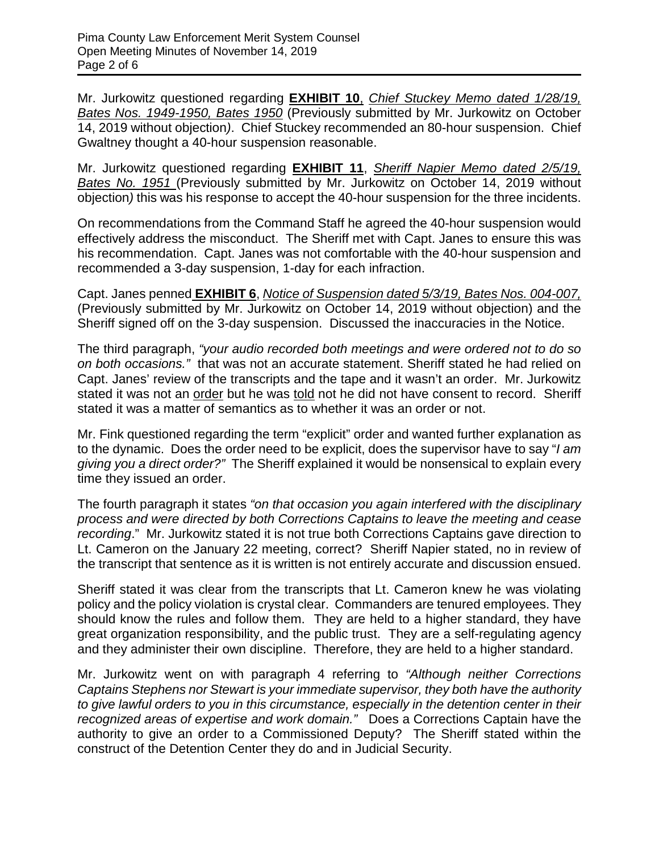Mr. Jurkowitz questioned regarding **EXHIBIT 10**, *Chief Stuckey Memo dated 1/28/19, Bates Nos. 1949-1950, Bates 1950* (Previously submitted by Mr. Jurkowitz on October 14, 2019 without objection*)*. Chief Stuckey recommended an 80-hour suspension. Chief Gwaltney thought a 40-hour suspension reasonable.

Mr. Jurkowitz questioned regarding **EXHIBIT 11**, *Sheriff Napier Memo dated 2/5/19, Bates No. 1951* (Previously submitted by Mr. Jurkowitz on October 14, 2019 without objection*)* this was his response to accept the 40-hour suspension for the three incidents.

On recommendations from the Command Staff he agreed the 40-hour suspension would effectively address the misconduct. The Sheriff met with Capt. Janes to ensure this was his recommendation. Capt. Janes was not comfortable with the 40-hour suspension and recommended a 3-day suspension, 1-day for each infraction.

Capt. Janes penned **EXHIBIT 6**, *Notice of Suspension dated 5/3/19, Bates Nos. 004-007,*  (Previously submitted by Mr. Jurkowitz on October 14, 2019 without objection) and the Sheriff signed off on the 3-day suspension. Discussed the inaccuracies in the Notice.

The third paragraph, *"your audio recorded both meetings and were ordered not to do so on both occasions."* that was not an accurate statement. Sheriff stated he had relied on Capt. Janes' review of the transcripts and the tape and it wasn't an order. Mr. Jurkowitz stated it was not an order but he was told not he did not have consent to record. Sheriff stated it was a matter of semantics as to whether it was an order or not.

Mr. Fink questioned regarding the term "explicit" order and wanted further explanation as to the dynamic. Does the order need to be explicit, does the supervisor have to say "*I am giving you a direct order?"* The Sheriff explained it would be nonsensical to explain every time they issued an order.

The fourth paragraph it states *"on that occasion you again interfered with the disciplinary process and were directed by both Corrections Captains to leave the meeting and cease recording*." Mr. Jurkowitz stated it is not true both Corrections Captains gave direction to Lt. Cameron on the January 22 meeting, correct? Sheriff Napier stated, no in review of the transcript that sentence as it is written is not entirely accurate and discussion ensued.

Sheriff stated it was clear from the transcripts that Lt. Cameron knew he was violating policy and the policy violation is crystal clear. Commanders are tenured employees. They should know the rules and follow them. They are held to a higher standard, they have great organization responsibility, and the public trust. They are a self-regulating agency and they administer their own discipline. Therefore, they are held to a higher standard.

Mr. Jurkowitz went on with paragraph 4 referring to *"Although neither Corrections Captains Stephens nor Stewart is your immediate supervisor, they both have the authority to give lawful orders to you in this circumstance, especially in the detention center in their recognized areas of expertise and work domain."* Does a Corrections Captain have the authority to give an order to a Commissioned Deputy? The Sheriff stated within the construct of the Detention Center they do and in Judicial Security.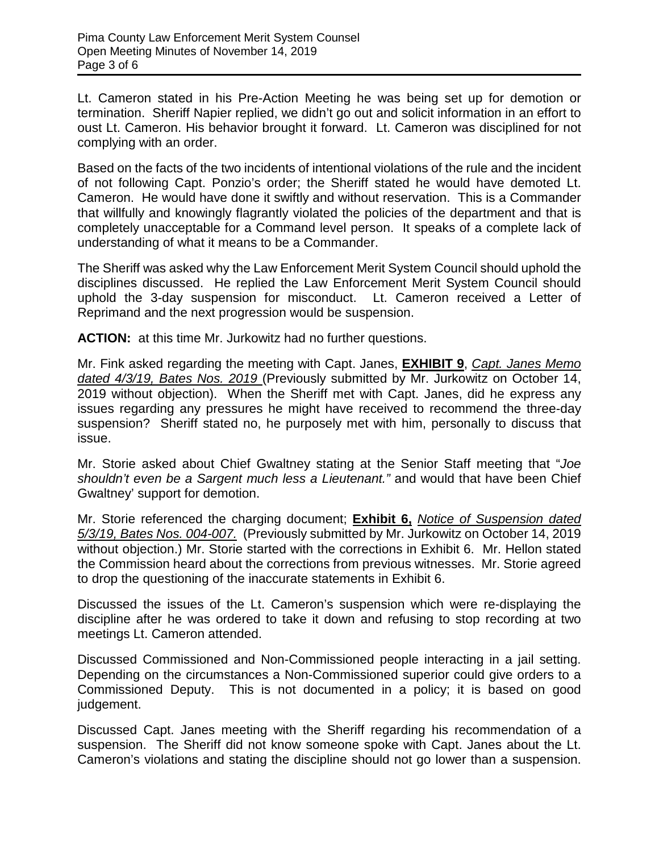Lt. Cameron stated in his Pre-Action Meeting he was being set up for demotion or termination. Sheriff Napier replied, we didn't go out and solicit information in an effort to oust Lt. Cameron. His behavior brought it forward. Lt. Cameron was disciplined for not complying with an order.

Based on the facts of the two incidents of intentional violations of the rule and the incident of not following Capt. Ponzio's order; the Sheriff stated he would have demoted Lt. Cameron. He would have done it swiftly and without reservation. This is a Commander that willfully and knowingly flagrantly violated the policies of the department and that is completely unacceptable for a Command level person. It speaks of a complete lack of understanding of what it means to be a Commander.

The Sheriff was asked why the Law Enforcement Merit System Council should uphold the disciplines discussed. He replied the Law Enforcement Merit System Council should uphold the 3-day suspension for misconduct. Lt. Cameron received a Letter of Reprimand and the next progression would be suspension.

**ACTION:** at this time Mr. Jurkowitz had no further questions.

Mr. Fink asked regarding the meeting with Capt. Janes, **EXHIBIT 9**, *Capt. Janes Memo dated 4/3/19, Bates Nos. 2019* (Previously submitted by Mr. Jurkowitz on October 14, 2019 without objection). When the Sheriff met with Capt. Janes, did he express any issues regarding any pressures he might have received to recommend the three-day suspension? Sheriff stated no, he purposely met with him, personally to discuss that issue.

Mr. Storie asked about Chief Gwaltney stating at the Senior Staff meeting that "*Joe shouldn't even be a Sargent much less a Lieutenant."* and would that have been Chief Gwaltney' support for demotion.

Mr. Storie referenced the charging document; **Exhibit 6,** *Notice of Suspension dated 5/3/19, Bates Nos. 004-007.* (Previously submitted by Mr. Jurkowitz on October 14, 2019 without objection.) Mr. Storie started with the corrections in Exhibit 6. Mr. Hellon stated the Commission heard about the corrections from previous witnesses. Mr. Storie agreed to drop the questioning of the inaccurate statements in Exhibit 6.

Discussed the issues of the Lt. Cameron's suspension which were re-displaying the discipline after he was ordered to take it down and refusing to stop recording at two meetings Lt. Cameron attended.

Discussed Commissioned and Non-Commissioned people interacting in a jail setting. Depending on the circumstances a Non-Commissioned superior could give orders to a Commissioned Deputy. This is not documented in a policy; it is based on good judgement.

Discussed Capt. Janes meeting with the Sheriff regarding his recommendation of a suspension. The Sheriff did not know someone spoke with Capt. Janes about the Lt. Cameron's violations and stating the discipline should not go lower than a suspension.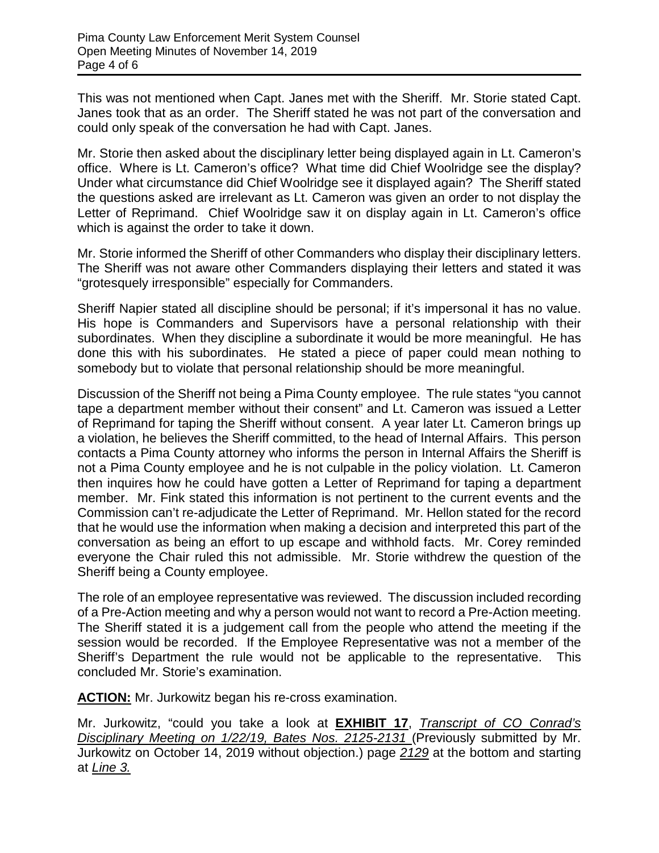This was not mentioned when Capt. Janes met with the Sheriff. Mr. Storie stated Capt. Janes took that as an order. The Sheriff stated he was not part of the conversation and could only speak of the conversation he had with Capt. Janes.

Mr. Storie then asked about the disciplinary letter being displayed again in Lt. Cameron's office. Where is Lt. Cameron's office? What time did Chief Woolridge see the display? Under what circumstance did Chief Woolridge see it displayed again? The Sheriff stated the questions asked are irrelevant as Lt. Cameron was given an order to not display the Letter of Reprimand. Chief Woolridge saw it on display again in Lt. Cameron's office which is against the order to take it down.

Mr. Storie informed the Sheriff of other Commanders who display their disciplinary letters. The Sheriff was not aware other Commanders displaying their letters and stated it was "grotesquely irresponsible" especially for Commanders.

Sheriff Napier stated all discipline should be personal; if it's impersonal it has no value. His hope is Commanders and Supervisors have a personal relationship with their subordinates. When they discipline a subordinate it would be more meaningful. He has done this with his subordinates. He stated a piece of paper could mean nothing to somebody but to violate that personal relationship should be more meaningful.

Discussion of the Sheriff not being a Pima County employee. The rule states "you cannot tape a department member without their consent" and Lt. Cameron was issued a Letter of Reprimand for taping the Sheriff without consent. A year later Lt. Cameron brings up a violation, he believes the Sheriff committed, to the head of Internal Affairs. This person contacts a Pima County attorney who informs the person in Internal Affairs the Sheriff is not a Pima County employee and he is not culpable in the policy violation. Lt. Cameron then inquires how he could have gotten a Letter of Reprimand for taping a department member. Mr. Fink stated this information is not pertinent to the current events and the Commission can't re-adjudicate the Letter of Reprimand. Mr. Hellon stated for the record that he would use the information when making a decision and interpreted this part of the conversation as being an effort to up escape and withhold facts. Mr. Corey reminded everyone the Chair ruled this not admissible. Mr. Storie withdrew the question of the Sheriff being a County employee.

The role of an employee representative was reviewed. The discussion included recording of a Pre-Action meeting and why a person would not want to record a Pre-Action meeting. The Sheriff stated it is a judgement call from the people who attend the meeting if the session would be recorded. If the Employee Representative was not a member of the Sheriff's Department the rule would not be applicable to the representative. This concluded Mr. Storie's examination.

**ACTION:** Mr. Jurkowitz began his re-cross examination.

Mr. Jurkowitz, "could you take a look at **EXHIBIT 17**, *Transcript of CO Conrad's Disciplinary Meeting on 1/22/19, Bates Nos. 2125-2131* (Previously submitted by Mr. Jurkowitz on October 14, 2019 without objection.) page *2129* at the bottom and starting at *Line 3.*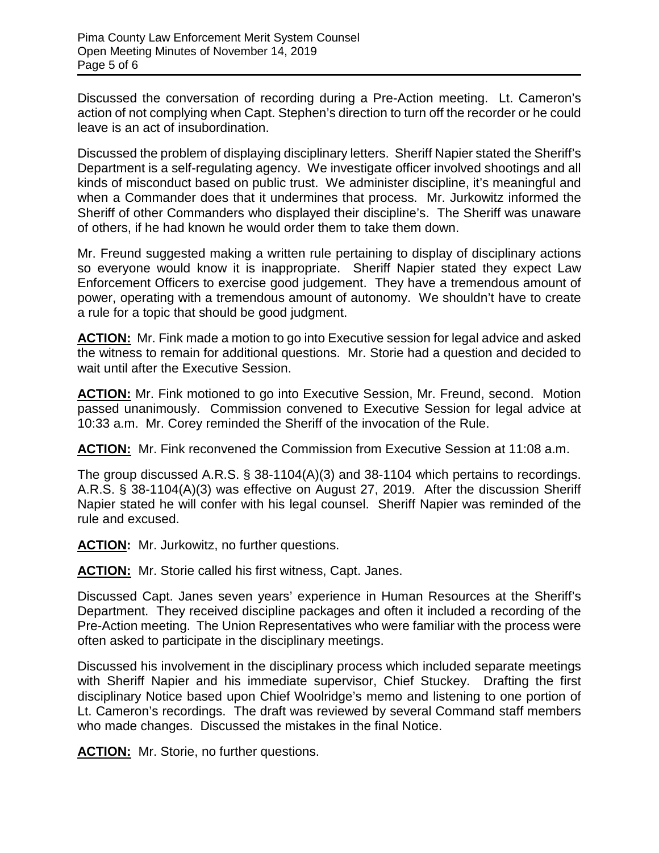Discussed the conversation of recording during a Pre-Action meeting. Lt. Cameron's action of not complying when Capt. Stephen's direction to turn off the recorder or he could leave is an act of insubordination.

Discussed the problem of displaying disciplinary letters. Sheriff Napier stated the Sheriff's Department is a self-regulating agency. We investigate officer involved shootings and all kinds of misconduct based on public trust. We administer discipline, it's meaningful and when a Commander does that it undermines that process. Mr. Jurkowitz informed the Sheriff of other Commanders who displayed their discipline's. The Sheriff was unaware of others, if he had known he would order them to take them down.

Mr. Freund suggested making a written rule pertaining to display of disciplinary actions so everyone would know it is inappropriate. Sheriff Napier stated they expect Law Enforcement Officers to exercise good judgement. They have a tremendous amount of power, operating with a tremendous amount of autonomy. We shouldn't have to create a rule for a topic that should be good judgment.

**ACTION:** Mr. Fink made a motion to go into Executive session for legal advice and asked the witness to remain for additional questions. Mr. Storie had a question and decided to wait until after the Executive Session.

**ACTION:** Mr. Fink motioned to go into Executive Session, Mr. Freund, second. Motion passed unanimously. Commission convened to Executive Session for legal advice at 10:33 a.m. Mr. Corey reminded the Sheriff of the invocation of the Rule.

**ACTION:** Mr. Fink reconvened the Commission from Executive Session at 11:08 a.m.

The group discussed A.R.S. § 38-1104(A)(3) and 38-1104 which pertains to recordings. A.R.S. § 38-1104(A)(3) was effective on August 27, 2019. After the discussion Sheriff Napier stated he will confer with his legal counsel. Sheriff Napier was reminded of the rule and excused.

ACTION: Mr. Jurkowitz, no further questions.

**ACTION:** Mr. Storie called his first witness, Capt. Janes.

Discussed Capt. Janes seven years' experience in Human Resources at the Sheriff's Department. They received discipline packages and often it included a recording of the Pre-Action meeting. The Union Representatives who were familiar with the process were often asked to participate in the disciplinary meetings.

Discussed his involvement in the disciplinary process which included separate meetings with Sheriff Napier and his immediate supervisor, Chief Stuckey. Drafting the first disciplinary Notice based upon Chief Woolridge's memo and listening to one portion of Lt. Cameron's recordings. The draft was reviewed by several Command staff members who made changes. Discussed the mistakes in the final Notice.

**ACTION:** Mr. Storie, no further questions.